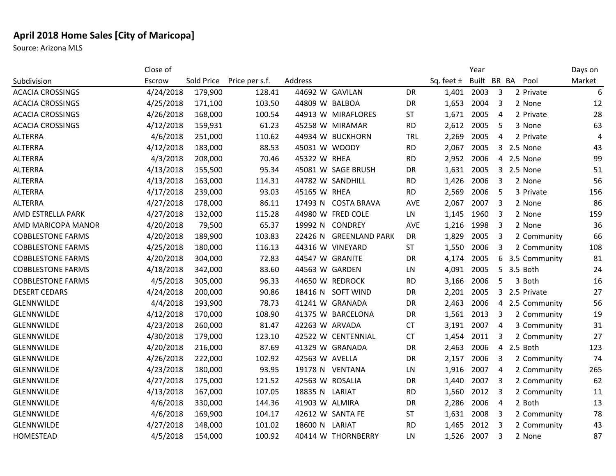## **April 2018 Home Sales [City of Maricopa]**

Source: Arizona MLS

|                          | Close of  |            |                |                   |                       |            |                | Year        |                |               | Days on |
|--------------------------|-----------|------------|----------------|-------------------|-----------------------|------------|----------------|-------------|----------------|---------------|---------|
| Subdivision              | Escrow    | Sold Price | Price per s.f. | Address           |                       |            | Sq. feet $\pm$ | Built BR BA |                | Pool          | Market  |
| <b>ACACIA CROSSINGS</b>  | 4/24/2018 | 179,900    | 128.41         | 44692 W GAVILAN   |                       | <b>DR</b>  | 1,401          | 2003        | 3              | 2 Private     | 6       |
| <b>ACACIA CROSSINGS</b>  | 4/25/2018 | 171,100    | 103.50         | 44809 W BALBOA    |                       | DR         | 1,653          | 2004        | 3              | 2 None        | 12      |
| <b>ACACIA CROSSINGS</b>  | 4/26/2018 | 168,000    | 100.54         |                   | 44913 W MIRAFLORES    | <b>ST</b>  | 1,671          | 2005        | $\overline{4}$ | 2 Private     | 28      |
| <b>ACACIA CROSSINGS</b>  | 4/12/2018 | 159,931    | 61.23          | 45258 W MIRAMAR   |                       | <b>RD</b>  | 2,612          | 2005        | -5             | 3 None        | 63      |
| <b>ALTERRA</b>           | 4/6/2018  | 251,000    | 110.62         | 44934 W BUCKHORN  |                       | <b>TRL</b> | 2,269          | 2005        | 4              | 2 Private     | 4       |
| <b>ALTERRA</b>           | 4/12/2018 | 183,000    | 88.53          | 45031 W WOODY     |                       | <b>RD</b>  | 2,067          | 2005        | 3              | 2.5 None      | 43      |
| <b>ALTERRA</b>           | 4/3/2018  | 208,000    | 70.46          | 45322 W RHEA      |                       | <b>RD</b>  | 2,952          | 2006        |                | 4 2.5 None    | 99      |
| <b>ALTERRA</b>           | 4/13/2018 | 155,500    | 95.34          |                   | 45081 W SAGE BRUSH    | DR         | 1,631          | 2005        |                | 3 2.5 None    | 51      |
| <b>ALTERRA</b>           | 4/13/2018 | 163,000    | 114.31         | 44782 W SANDHILL  |                       | <b>RD</b>  | 1,426          | 2006        | 3              | 2 None        | 56      |
| <b>ALTERRA</b>           | 4/17/2018 | 239,000    | 93.03          | 45165 W RHEA      |                       | <b>RD</b>  | 2,569          | 2006        | -5             | 3 Private     | 156     |
| <b>ALTERRA</b>           | 4/27/2018 | 178,000    | 86.11          |                   | 17493 N COSTA BRAVA   | <b>AVE</b> | 2,067          | 2007        | -3             | 2 None        | 86      |
| AMD ESTRELLA PARK        | 4/27/2018 | 132,000    | 115.28         | 44980 W FRED COLE |                       | LN         | 1,145          | 1960        | 3              | 2 None        | 159     |
| AMD MARICOPA MANOR       | 4/20/2018 | 79,500     | 65.37          | 19992 N           | <b>CONDREY</b>        | <b>AVE</b> | 1,216          | 1998        | 3              | 2 None        | 36      |
| <b>COBBLESTONE FARMS</b> | 4/20/2018 | 189,900    | 103.83         | 22426 N           | <b>GREENLAND PARK</b> | DR         | 1,829          | 2005        | 3              | 2 Community   | 66      |
| <b>COBBLESTONE FARMS</b> | 4/25/2018 | 180,000    | 116.13         | 44316 W VINEYARD  |                       | <b>ST</b>  | 1,550          | 2006        | 3              | 2 Community   | 108     |
| <b>COBBLESTONE FARMS</b> | 4/20/2018 | 304,000    | 72.83          | 44547 W GRANITE   |                       | DR         | 4,174          | 2005        | 6              | 3.5 Community | 81      |
| <b>COBBLESTONE FARMS</b> | 4/18/2018 | 342,000    | 83.60          | 44563 W GARDEN    |                       | LN         | 4,091          | 2005        | 5              | 3.5 Both      | 24      |
| <b>COBBLESTONE FARMS</b> | 4/5/2018  | 305,000    | 96.33          | 44650 W REDROCK   |                       | <b>RD</b>  | 3,166          | 2006        | 5              | 3 Both        | 16      |
| <b>DESERT CEDARS</b>     | 4/24/2018 | 200,000    | 90.86          | 18416 N SOFT WIND |                       | DR         | 2,201          | 2005        | 3              | 2.5 Private   | 27      |
| <b>GLENNWILDE</b>        | 4/4/2018  | 193,900    | 78.73          | 41241 W GRANADA   |                       | DR         | 2,463          | 2006        | 4              | 2.5 Community | 56      |
| <b>GLENNWILDE</b>        | 4/12/2018 | 170,000    | 108.90         | 41375 W BARCELONA |                       | DR         | 1,561          | 2013        | 3              | 2 Community   | 19      |
| <b>GLENNWILDE</b>        | 4/23/2018 | 260,000    | 81.47          | 42263 W ARVADA    |                       | <b>CT</b>  | 3,191          | 2007        | 4              | 3 Community   | 31      |
| <b>GLENNWILDE</b>        | 4/30/2018 | 179,000    | 123.10         |                   | 42522 W CENTENNIAL    | <b>CT</b>  | 1,454          | 2011        | 3              | 2 Community   | 27      |
| <b>GLENNWILDE</b>        | 4/20/2018 | 216,000    | 87.69          | 41329 W GRANADA   |                       | DR         | 2,463          | 2006        | 4              | 2.5 Both      | 123     |
| <b>GLENNWILDE</b>        | 4/26/2018 | 222,000    | 102.92         | 42563 W AVELLA    |                       | DR         | 2,157          | 2006        | 3              | 2 Community   | 74      |
| <b>GLENNWILDE</b>        | 4/23/2018 | 180,000    | 93.95          | 19178 N VENTANA   |                       | LN         | 1,916          | 2007        | 4              | 2 Community   | 265     |
| <b>GLENNWILDE</b>        | 4/27/2018 | 175,000    | 121.52         | 42563 W ROSALIA   |                       | DR         | 1,440          | 2007        | $\overline{3}$ | 2 Community   | 62      |
| <b>GLENNWILDE</b>        | 4/13/2018 | 167,000    | 107.05         | 18835 N LARIAT    |                       | <b>RD</b>  | 1,560          | 2012        | -3             | 2 Community   | 11      |
| <b>GLENNWILDE</b>        | 4/6/2018  | 330,000    | 144.36         | 41903 W ALMIRA    |                       | DR         | 2,286          | 2006        | 4              | 2 Both        | 13      |
| <b>GLENNWILDE</b>        | 4/6/2018  | 169,900    | 104.17         | 42612 W SANTA FE  |                       | <b>ST</b>  | 1,631          | 2008        | -3             | 2 Community   | 78      |
| <b>GLENNWILDE</b>        | 4/27/2018 | 148,000    | 101.02         | 18600 N LARIAT    |                       | <b>RD</b>  | 1,465          | 2012        | -3             | 2 Community   | 43      |
| <b>HOMESTEAD</b>         | 4/5/2018  | 154,000    | 100.92         |                   | 40414 W THORNBERRY    | LN         | 1,526          | 2007        | 3              | 2 None        | 87      |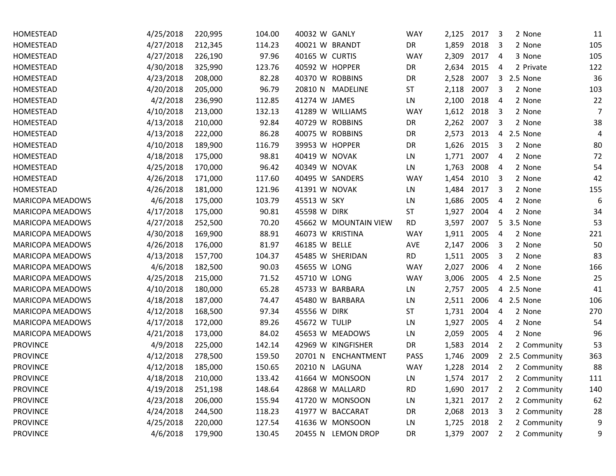| <b>HOMESTEAD</b>        | 4/25/2018 | 220,995 | 104.00 | 40032 W GANLY         | <b>WAY</b> | 2,125      | 2017         | 3<br>2 None                            | 11  |
|-------------------------|-----------|---------|--------|-----------------------|------------|------------|--------------|----------------------------------------|-----|
| <b>HOMESTEAD</b>        | 4/27/2018 | 212,345 | 114.23 | 40021 W BRANDT        | DR         | 1,859      | 2018         | 2 None<br>3                            | 105 |
| <b>HOMESTEAD</b>        | 4/27/2018 | 226,190 | 97.96  | 40165 W CURTIS        | <b>WAY</b> | 2,309      | 2017         | 3 None<br>4                            | 105 |
| <b>HOMESTEAD</b>        | 4/30/2018 | 325,990 | 123.76 | 40592 W HOPPER        | DR         | 2,634      | 2015         | 2 Private<br>4                         | 122 |
| <b>HOMESTEAD</b>        | 4/23/2018 | 208,000 | 82.28  | 40370 W ROBBINS       | DR         | 2,528      | 2007         | 3<br>2.5 None                          | 36  |
| <b>HOMESTEAD</b>        | 4/20/2018 | 205,000 | 96.79  | 20810 N MADELINE      | <b>ST</b>  | 2,118      | 2007         | 3<br>2 None                            | 103 |
| <b>HOMESTEAD</b>        | 4/2/2018  | 236,990 | 112.85 | 41274 W JAMES         | LN         | 2,100      | 2018         | 2 None<br>4                            | 22  |
| HOMESTEAD               | 4/10/2018 | 213,000 | 132.13 | 41289 W WILLIAMS      | <b>WAY</b> | 1,612      | 2018         | -3<br>2 None                           | 7   |
| <b>HOMESTEAD</b>        | 4/13/2018 | 210,000 | 92.84  | 40729 W ROBBINS       | DR         | 2,262      | 2007         | 3<br>2 None                            | 38  |
| <b>HOMESTEAD</b>        | 4/13/2018 | 222,000 | 86.28  | 40075 W ROBBINS       | DR         | 2,573      | 2013         | 2.5 None<br>4                          | 4   |
| <b>HOMESTEAD</b>        | 4/10/2018 | 189,900 | 116.79 | 39953 W HOPPER        | DR         | 1,626      | 2015         | 3<br>2 None                            | 80  |
| <b>HOMESTEAD</b>        | 4/18/2018 | 175,000 | 98.81  | 40419 W NOVAK         | LN         | 1,771      | 2007         | 2 None<br>4                            | 72  |
| <b>HOMESTEAD</b>        | 4/25/2018 | 170,000 | 96.42  | 40349 W NOVAK         | LN         | 1,763      | 2008         | 2 None<br>4                            | 54  |
| HOMESTEAD               | 4/26/2018 | 171,000 | 117.60 | 40495 W SANDERS       | <b>WAY</b> | 1,454      | 2010         | -3<br>2 None                           | 42  |
| <b>HOMESTEAD</b>        | 4/26/2018 | 181,000 | 121.96 | 41391 W NOVAK         | LN         | 1,484      | 2017         | 3<br>2 None                            | 155 |
| <b>MARICOPA MEADOWS</b> | 4/6/2018  | 175,000 | 103.79 | 45513 W SKY           | LN         | 1,686      | 2005         | 2 None<br>4                            | 6   |
| <b>MARICOPA MEADOWS</b> | 4/17/2018 | 175,000 | 90.81  | 45598 W DIRK          | ST         | 1,927      | 2004         | 4<br>2 None                            | 34  |
| <b>MARICOPA MEADOWS</b> | 4/27/2018 | 252,500 | 70.20  | 45662 W MOUNTAIN VIEW | <b>RD</b>  | 3,597      | 2007         | 3.5 None<br>5                          | 53  |
| <b>MARICOPA MEADOWS</b> | 4/30/2018 | 169,900 | 88.91  | 46073 W KRISTINA      | <b>WAY</b> | 1,911      | 2005         | 2 None<br>4                            | 221 |
| <b>MARICOPA MEADOWS</b> | 4/26/2018 | 176,000 | 81.97  | 46185 W BELLE         | <b>AVE</b> | 2,147      | 2006         | 3<br>2 None                            | 50  |
| <b>MARICOPA MEADOWS</b> | 4/13/2018 | 157,700 | 104.37 | 45485 W SHERIDAN      | <b>RD</b>  | 1,511      | 2005         | 3<br>2 None                            | 83  |
| <b>MARICOPA MEADOWS</b> | 4/6/2018  | 182,500 | 90.03  | 45655 W LONG          | <b>WAY</b> | 2,027      | 2006         | 2 None<br>4                            | 166 |
| <b>MARICOPA MEADOWS</b> | 4/25/2018 | 215,000 | 71.52  | 45710 W LONG          | <b>WAY</b> | 3,006      | 2005         | 2.5 None<br>4                          | 25  |
| <b>MARICOPA MEADOWS</b> | 4/10/2018 | 180,000 | 65.28  | 45733 W BARBARA       | LN         | 2,757      | 2005         | 2.5 None<br>4                          | 41  |
| <b>MARICOPA MEADOWS</b> | 4/18/2018 | 187,000 | 74.47  | 45480 W BARBARA       | LN         | 2,511      | 2006         | 4 2.5 None                             | 106 |
| <b>MARICOPA MEADOWS</b> | 4/12/2018 | 168,500 | 97.34  | 45556 W DIRK          | <b>ST</b>  | 1,731      | 2004         | 2 None<br>4                            | 270 |
| <b>MARICOPA MEADOWS</b> | 4/17/2018 | 172,000 | 89.26  | 45672 W TULIP         | LN         | 1,927      | 2005         | 2 None<br>4                            | 54  |
| <b>MARICOPA MEADOWS</b> | 4/21/2018 | 173,000 | 84.02  | 45653 W MEADOWS       | LN         | 2,059      | 2005         | 2 None<br>4                            | 96  |
| <b>PROVINCE</b>         | 4/9/2018  | 225,000 | 142.14 | 42969 W KINGFISHER    | DR         | 1,583      | 2014         | 2 Community<br>2                       | 53  |
| <b>PROVINCE</b>         | 4/12/2018 | 278,500 | 159.50 | 20701 N ENCHANTMENT   | PASS       | 1,746      | 2009         | 2 2.5 Community                        | 363 |
| <b>PROVINCE</b>         | 4/12/2018 | 185,000 | 150.65 | 20210 N LAGUNA        | <b>WAY</b> | 1,228 2014 |              | $\overline{2}$<br>2 Community          | 88  |
| <b>PROVINCE</b>         | 4/18/2018 | 210,000 | 133.42 | 41664 W MONSOON       | LN.        |            | 1,574 2017   | $\overline{2}$<br>2 Community          | 111 |
| <b>PROVINCE</b>         | 4/19/2018 | 251,198 | 148.64 | 42868 W MALLARD       | <b>RD</b>  |            | 1,690 2017   | 2 Community<br>$\overline{2}$          | 140 |
| <b>PROVINCE</b>         | 4/23/2018 | 206,000 | 155.94 | 41720 W MONSOON       | LN         |            | 1,321 2017   | 2 Community<br>$\overline{\mathbf{2}}$ | 62  |
| <b>PROVINCE</b>         | 4/24/2018 | 244,500 | 118.23 | 41977 W BACCARAT      | DR         | 2,068 2013 |              | 2 Community<br>- 3                     | 28  |
| <b>PROVINCE</b>         | 4/25/2018 | 220,000 | 127.54 | 41636 W MONSOON       | LN         |            | 1,725 2018   | 2 Community<br>$\overline{2}$          | 9   |
| <b>PROVINCE</b>         | 4/6/2018  | 179,900 | 130.45 | 20455 N LEMON DROP    | DR         |            | 1,379 2007 2 | 2 Community                            | 9   |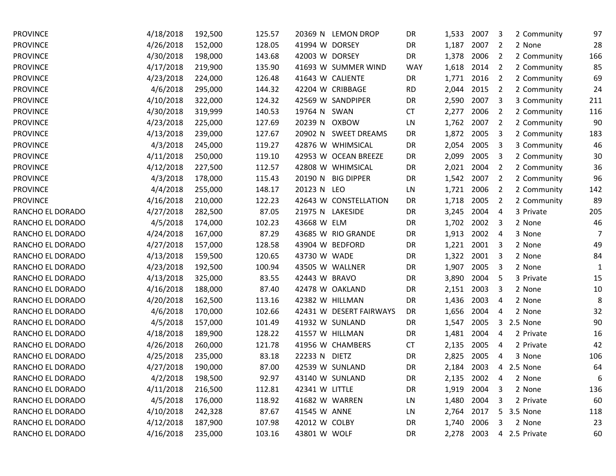| <b>PROVINCE</b>  | 4/18/2018 | 192,500 | 125.57 | 20369 N LEMON DROP           | DR                        | 1,533 | 2007       | 3              | 2 Community   | 97  |
|------------------|-----------|---------|--------|------------------------------|---------------------------|-------|------------|----------------|---------------|-----|
| <b>PROVINCE</b>  | 4/26/2018 | 152,000 | 128.05 | 41994 W DORSEY               | DR                        | 1,187 | 2007       | $\overline{2}$ | 2 None        | 28  |
| <b>PROVINCE</b>  | 4/30/2018 | 198,000 | 143.68 | 42003 W DORSEY               | DR                        | 1,378 | 2006       | $\overline{2}$ | 2 Community   | 166 |
| <b>PROVINCE</b>  | 4/17/2018 | 219,900 | 135.90 | 41693 W SUMMER WIND          | <b>WAY</b>                | 1,618 | 2014       | $\overline{2}$ | 2 Community   | 85  |
| <b>PROVINCE</b>  | 4/23/2018 | 224,000 | 126.48 | 41643 W CALIENTE             | DR                        | 1,771 | 2016       | -2             | 2 Community   | 69  |
| <b>PROVINCE</b>  | 4/6/2018  | 295,000 | 144.32 | 42204 W CRIBBAGE             | <b>RD</b>                 | 2,044 | 2015       | $\overline{2}$ | 2 Community   | 24  |
| <b>PROVINCE</b>  | 4/10/2018 | 322,000 | 124.32 | 42569 W SANDPIPER            | DR                        | 2,590 | 2007       | -3             | 3 Community   | 211 |
| <b>PROVINCE</b>  | 4/30/2018 | 319,999 | 140.53 | 19764 N<br>SWAN              | <b>CT</b>                 | 2,277 | 2006       | $\overline{2}$ | 2 Community   | 116 |
| <b>PROVINCE</b>  | 4/23/2018 | 225,000 | 127.69 | 20239 N<br><b>OXBOW</b>      | LN                        | 1,762 | 2007       | $\overline{2}$ | 2 Community   | 90  |
| <b>PROVINCE</b>  | 4/13/2018 | 239,000 | 127.67 | 20902 N                      | <b>SWEET DREAMS</b><br>DR | 1,872 | 2005       | -3             | 2 Community   | 183 |
| <b>PROVINCE</b>  | 4/3/2018  | 245,000 | 119.27 | 42876 W WHIMSICAL            | DR                        | 2,054 | 2005       | 3              | 3 Community   | 46  |
| <b>PROVINCE</b>  | 4/11/2018 | 250,000 | 119.10 | 42953 W OCEAN BREEZE         | DR                        | 2,099 | 2005       | 3              | 2 Community   | 30  |
| <b>PROVINCE</b>  | 4/12/2018 | 227,500 | 112.57 | 42808 W WHIMSICAL            | DR                        | 2,021 | 2004       | -2             | 2 Community   | 36  |
| <b>PROVINCE</b>  | 4/3/2018  | 178,000 | 115.43 | 20190 N<br><b>BIG DIPPER</b> | DR                        | 1,542 | 2007       | $\overline{2}$ | 2 Community   | 96  |
| <b>PROVINCE</b>  | 4/4/2018  | 255,000 | 148.17 | 20123 N<br>LEO               | LN                        | 1,721 | 2006       | $\overline{2}$ | 2 Community   | 142 |
| <b>PROVINCE</b>  | 4/16/2018 | 210,000 | 122.23 | 42643 W CONSTELLATION        | DR                        | 1,718 | 2005       | $\overline{2}$ | 2 Community   | 89  |
| RANCHO EL DORADO | 4/27/2018 | 282,500 | 87.05  | 21975 N LAKESIDE             | DR                        | 3,245 | 2004       | 4              | 3 Private     | 205 |
| RANCHO EL DORADO | 4/5/2018  | 174,000 | 102.23 | 43668 W ELM                  | DR                        | 1,702 | 2002       | -3             | 2 None        | 46  |
| RANCHO EL DORADO | 4/24/2018 | 167,000 | 87.29  | 43685 W RIO GRANDE           | DR                        | 1,913 | 2002       | 4              | 3 None        | 7   |
| RANCHO EL DORADO | 4/27/2018 | 157,000 | 128.58 | 43904 W BEDFORD              | DR                        | 1,221 | 2001       | -3             | 2 None        | 49  |
| RANCHO EL DORADO | 4/13/2018 | 159,500 | 120.65 | 43730 W WADE                 | DR                        | 1,322 | 2001       | 3              | 2 None        | 84  |
| RANCHO EL DORADO | 4/23/2018 | 192,500 | 100.94 | 43505 W WALLNER              | DR                        | 1,907 | 2005       | 3              | 2 None        | 1   |
| RANCHO EL DORADO | 4/13/2018 | 325,000 | 83.55  | 42443 W BRAVO                | DR                        | 3,890 | 2004       | -5             | 3 Private     | 15  |
| RANCHO EL DORADO | 4/16/2018 | 188,000 | 87.40  | 42478 W OAKLAND              | DR                        | 2,151 | 2003       | 3              | 2 None        | 10  |
| RANCHO EL DORADO | 4/20/2018 | 162,500 | 113.16 | 42382 W HILLMAN              | DR                        | 1,436 | 2003       | 4              | 2 None        | 8   |
| RANCHO EL DORADO | 4/6/2018  | 170,000 | 102.66 | 42431 W DESERT FAIRWAYS      | DR                        | 1,656 | 2004       | 4              | 2 None        | 32  |
| RANCHO EL DORADO | 4/5/2018  | 157,000 | 101.49 | 41932 W SUNLAND              | DR                        | 1,547 | 2005       | 3              | 2.5 None      | 90  |
| RANCHO EL DORADO | 4/18/2018 | 189,900 | 128.22 | 41557 W HILLMAN              | DR                        | 1,481 | 2004       | 4              | 2 Private     | 16  |
| RANCHO EL DORADO | 4/26/2018 | 260,000 | 121.78 | 41956 W CHAMBERS             | СT                        | 2,135 | 2005       | 4              | 2 Private     | 42  |
| RANCHO EL DORADO | 4/25/2018 | 235,000 | 83.18  | 22233 N DIETZ                | DR                        | 2,825 | 2005       | 4              | 3 None        | 106 |
| RANCHO EL DORADO | 4/27/2018 | 190,000 | 87.00  | 42539 W SUNLAND              | DR                        | 2,184 | 2003       | 4              | 2.5 None      | 64  |
| RANCHO EL DORADO | 4/2/2018  | 198,500 | 92.97  | 43140 W SUNLAND              | DR.                       | 2,135 | 2002       | 4              | 2 None        | 6   |
| RANCHO EL DORADO | 4/11/2018 | 216,500 | 112.81 | 42341 W LITTLE               | DR                        | 1,919 | 2004       | 3              | 2 None        | 136 |
| RANCHO EL DORADO | 4/5/2018  | 176,000 | 118.92 | 41682 W WARREN               | LN                        | 1,480 | 2004       | -3             | 2 Private     | 60  |
| RANCHO EL DORADO | 4/10/2018 | 242,328 | 87.67  | 41545 W ANNE                 | LN                        | 2,764 | 2017       |                | 5 3.5 None    | 118 |
| RANCHO EL DORADO | 4/12/2018 | 187,900 | 107.98 | 42012 W COLBY                | DR                        | 1,740 | 2006       | 3              | 2 None        | 23  |
| RANCHO EL DORADO | 4/16/2018 | 235,000 | 103.16 | 43801 W WOLF                 | DR                        |       | 2,278 2003 |                | 4 2.5 Private | 60  |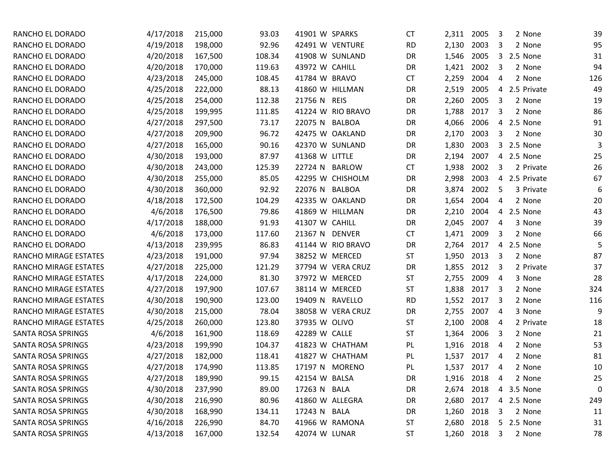| RANCHO EL DORADO          | 4/17/2018         | 215,000 | 93.03  | 41901 W SPARKS    | <b>CT</b> | 2,311      | 2005       | 3<br>2 None                         | 39  |
|---------------------------|-------------------|---------|--------|-------------------|-----------|------------|------------|-------------------------------------|-----|
| RANCHO EL DORADO          | 4/19/2018         | 198,000 | 92.96  | 42491 W VENTURE   | <b>RD</b> | 2,130      | 2003       | 2 None<br>3                         | 95  |
| RANCHO EL DORADO          | 4/20/2018         | 167,500 | 108.34 | 41908 W SUNLAND   | DR        | 1,546      | 2005       | 2.5 None<br>3                       | 31  |
| RANCHO EL DORADO          | 4/20/2018         | 170,000 | 119.63 | 43972 W CAHILL    | DR        | 1,421      | 2002       | 3<br>2 None                         | 94  |
| RANCHO EL DORADO          | 4/23/2018         | 245,000 | 108.45 | 41784 W BRAVO     | <b>CT</b> | 2,259      | 2004       | 2 None<br>4                         | 126 |
| RANCHO EL DORADO          | 4/25/2018         | 222,000 | 88.13  | 41860 W HILLMAN   | DR        | 2,519      | 2005       | 2.5 Private<br>4                    | 49  |
| RANCHO EL DORADO          | 4/25/2018         | 254,000 | 112.38 | 21756 N REIS      | DR        | 2,260      | 2005       | 2 None<br>3                         | 19  |
| RANCHO EL DORADO          | 4/25/2018         | 199,995 | 111.85 | 41224 W RIO BRAVO | DR        | 1,788      | 2017       | 3<br>2 None                         | 86  |
| RANCHO EL DORADO          | 4/27/2018         | 297,500 | 73.17  | 22075 N BALBOA    | DR        | 4,066      | 2006       | 4 2.5 None                          | 91  |
| RANCHO EL DORADO          | 4/27/2018         | 209,900 | 96.72  | 42475 W OAKLAND   | DR        | 2,170      | 2003       | 3<br>2 None                         | 30  |
| RANCHO EL DORADO          | 4/27/2018         | 165,000 | 90.16  | 42370 W SUNLAND   | DR        | 1,830      | 2003       | $\overline{\mathbf{3}}$<br>2.5 None | 3   |
| RANCHO EL DORADO          | 4/30/2018         | 193,000 | 87.97  | 41368 W LITTLE    | DR        | 2,194      | 2007       | 4 2.5 None                          | 25  |
| RANCHO EL DORADO          | 4/30/2018         | 243,000 | 125.39 | 22724 N BARLOW    | <b>CT</b> | 1,938      | 2002       | 3<br>2 Private                      | 26  |
| RANCHO EL DORADO          | 4/30/2018         | 255,000 | 85.05  | 42295 W CHISHOLM  | DR        | 2,998      | 2003       | 2.5 Private<br>4                    | 67  |
| RANCHO EL DORADO          | 4/30/2018         | 360,000 | 92.92  | 22076 N BALBOA    | DR        | 3,874      | 2002       | -5<br>3 Private                     | 6   |
| RANCHO EL DORADO          | 4/18/2018         | 172,500 | 104.29 | 42335 W OAKLAND   | DR        | 1,654      | 2004       | 2 None<br>4                         | 20  |
| RANCHO EL DORADO          | 4/6/2018          | 176,500 | 79.86  | 41869 W HILLMAN   | DR        | 2,210      | 2004       | 4 2.5 None                          | 43  |
| RANCHO EL DORADO          | 4/17/2018         | 188,000 | 91.93  | 41307 W CAHILL    | DR        | 2,045      | 2007       | 3 None<br>4                         | 39  |
| RANCHO EL DORADO          | 4/6/2018          | 173,000 | 117.60 | 21367 N DENVER    | <b>CT</b> | 1,471      | 2009       | 3<br>2 None                         | 66  |
| RANCHO EL DORADO          | 4/13/2018         | 239,995 | 86.83  | 41144 W RIO BRAVO | DR        | 2,764      | 2017       | 2.5 None<br>4                       | 5   |
| RANCHO MIRAGE ESTATES     | 4/23/2018         | 191,000 | 97.94  | 38252 W MERCED    | <b>ST</b> | 1,950      | 2013       | 3<br>2 None                         | 87  |
| RANCHO MIRAGE ESTATES     | 4/27/2018         | 225,000 | 121.29 | 37794 W VERA CRUZ | DR        | 1,855      | 2012       | 3<br>2 Private                      | 37  |
| RANCHO MIRAGE ESTATES     | 4/17/2018         | 224,000 | 81.30  | 37972 W MERCED    | <b>ST</b> | 2,755      | 2009       | 3 None<br>4                         | 28  |
| RANCHO MIRAGE ESTATES     | 4/27/2018         | 197,900 | 107.67 | 38114 W MERCED    | <b>ST</b> | 1,838      | 2017       | -3<br>2 None                        | 324 |
| RANCHO MIRAGE ESTATES     | 4/30/2018         | 190,900 | 123.00 | 19409 N RAVELLO   | <b>RD</b> | 1,552 2017 |            | -3<br>2 None                        | 116 |
| RANCHO MIRAGE ESTATES     | 4/30/2018         | 215,000 | 78.04  | 38058 W VERA CRUZ | DR        | 2,755      | 2007       | 3 None<br>-4                        | 9   |
| RANCHO MIRAGE ESTATES     | 4/25/2018         | 260,000 | 123.80 | 37935 W OLIVO     | <b>ST</b> | 2,100      | 2008       | 2 Private<br>4                      | 18  |
| <b>SANTA ROSA SPRINGS</b> | 4/6/2018          | 161,900 | 118.69 | 42289 W CALLE     | <b>ST</b> | 1,364      | 2006       | 3<br>2 None                         | 21  |
| SANTA ROSA SPRINGS        | 4/23/2018         | 199,990 | 104.37 | 41823 W CHATHAM   | PL        | 1,916      | 2018       | 2 None<br>4                         | 53  |
| SANTA ROSA SPRINGS        | 4/27/2018         | 182,000 | 118.41 | 41827 W CHATHAM   | PL        | 1,537      | 2017       | 2 None<br>4                         | 81  |
| SANTA ROSA SPRINGS        | 4/27/2018         | 174,990 | 113.85 | 17197 N MORENO    | PL        |            | 1,537 2017 | 2 None<br>4                         | 10  |
| SANTA ROSA SPRINGS        | 4/27/2018 189,990 |         | 99.15  | 42154 W BALSA     | DR        |            | 1,916 2018 | 4<br>2 None                         | 25  |
| SANTA ROSA SPRINGS        | 4/30/2018         | 237,990 | 89.00  | 17263 N BALA      | DR        | 2,674      | 2018       | 4 3.5 None                          | 0   |
| SANTA ROSA SPRINGS        | 4/30/2018         | 216,990 | 80.96  | 41860 W ALLEGRA   | DR        | 2,680      | 2017       | 4 2.5 None                          | 249 |
| SANTA ROSA SPRINGS        | 4/30/2018         | 168,990 | 134.11 | 17243 N BALA      | DR        | 1,260      | 2018       | 2 None<br>3                         | 11  |
| SANTA ROSA SPRINGS        | 4/16/2018         | 226,990 | 84.70  | 41966 W RAMONA    | <b>ST</b> | 2,680      | 2018       | 5 2.5 None                          | 31  |
| SANTA ROSA SPRINGS        | 4/13/2018         | 167,000 | 132.54 | 42074 W LUNAR     | ST        |            | 1,260 2018 | 2 None<br>3                         | 78  |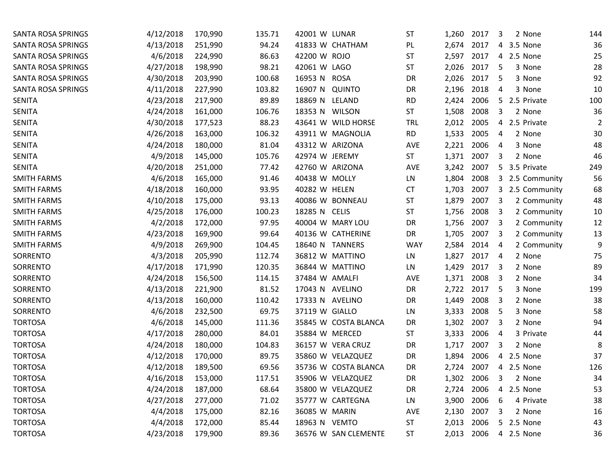| SANTA ROSA SPRINGS | 4/12/2018 | 170,990 | 135.71 | 42001 W LUNAR        | <b>ST</b>  | 1,260      | 2017 | 2 None<br>3      | 144                 |
|--------------------|-----------|---------|--------|----------------------|------------|------------|------|------------------|---------------------|
| SANTA ROSA SPRINGS | 4/13/2018 | 251,990 | 94.24  | 41833 W CHATHAM      | PL         | 2,674      | 2017 | 3.5 None<br>4    | 36                  |
| SANTA ROSA SPRINGS | 4/6/2018  | 224,990 | 86.63  | 42200 W ROJO         | <b>ST</b>  | 2,597      | 2017 | 2.5 None<br>4    | 25                  |
| SANTA ROSA SPRINGS | 4/27/2018 | 198,990 | 98.21  | 42061 W LAGO         | <b>ST</b>  | 2,026      | 2017 | 3 None<br>5      | 28                  |
| SANTA ROSA SPRINGS | 4/30/2018 | 203,990 | 100.68 | 16953 N ROSA         | DR         | 2,026      | 2017 | -5<br>3 None     | 92                  |
| SANTA ROSA SPRINGS | 4/11/2018 | 227,990 | 103.82 | 16907 N QUINTO       | DR         | 2,196      | 2018 | 3 None<br>4      | 10                  |
| <b>SENITA</b>      | 4/23/2018 | 217,900 | 89.89  | 18869 N<br>LELAND    | <b>RD</b>  | 2,424      | 2006 | 2.5 Private<br>5 | 100                 |
| <b>SENITA</b>      | 4/24/2018 | 161,000 | 106.76 | 18353 N WILSON       | <b>ST</b>  | 1,508      | 2008 | 2 None<br>3      | 36                  |
| <b>SENITA</b>      | 4/30/2018 | 177,523 | 88.23  | 43641 W WILD HORSE   | <b>TRL</b> | 2,012      | 2005 | 4 2.5 Private    | $\overline{2}$      |
| <b>SENITA</b>      | 4/26/2018 | 163,000 | 106.32 | 43911 W MAGNOLIA     | <b>RD</b>  | 1,533      | 2005 | 2 None<br>4      | 30                  |
| <b>SENITA</b>      | 4/24/2018 | 180,000 | 81.04  | 43312 W ARIZONA      | <b>AVE</b> | 2,221      | 2006 | 3 None<br>4      | 48                  |
| <b>SENITA</b>      | 4/9/2018  | 145,000 | 105.76 | 42974 W JEREMY       | <b>ST</b>  | 1,371 2007 |      | 2 None<br>3      | 46                  |
| <b>SENITA</b>      | 4/20/2018 | 251,000 | 77.42  | 42760 W ARIZONA      | <b>AVE</b> | 3,242      | 2007 | 5<br>3.5 Private | 249                 |
| <b>SMITH FARMS</b> | 4/6/2018  | 165,000 | 91.46  | 40438 W MOLLY        | LN         | 1,804      | 2008 | 3 2.5 Community  | 56                  |
| <b>SMITH FARMS</b> | 4/18/2018 | 160,000 | 93.95  | 40282 W HELEN        | <b>CT</b>  | 1,703      | 2007 | 3                | 68<br>2.5 Community |
| <b>SMITH FARMS</b> | 4/10/2018 | 175,000 | 93.13  | 40086 W BONNEAU      | <b>ST</b>  | 1,879      | 2007 | 3                | 48<br>2 Community   |
| <b>SMITH FARMS</b> | 4/25/2018 | 176,000 | 100.23 | 18285 N CELIS        | <b>ST</b>  | 1,756      | 2008 | 3                | 10<br>2 Community   |
| <b>SMITH FARMS</b> | 4/2/2018  | 172,000 | 97.95  | 40004 W MARY LOU     | DR         | 1,756      | 2007 | $\overline{3}$   | 12<br>2 Community   |
| <b>SMITH FARMS</b> | 4/23/2018 | 169,900 | 99.64  | 40136 W CATHERINE    | DR         | 1,705      | 2007 | 3                | 13<br>2 Community   |
| SMITH FARMS        | 4/9/2018  | 269,900 | 104.45 | 18640 N TANNERS      | <b>WAY</b> | 2,584      | 2014 | 4                | 9<br>2 Community    |
| SORRENTO           | 4/3/2018  | 205,990 | 112.74 | 36812 W MATTINO      | LN         | 1,827      | 2017 | 2 None<br>-4     | 75                  |
| SORRENTO           | 4/17/2018 | 171,990 | 120.35 | 36844 W MATTINO      | LN         | 1,429      | 2017 | 2 None<br>3      | 89                  |
| SORRENTO           | 4/24/2018 | 156,500 | 114.15 | 37484 W AMALFI       | <b>AVE</b> | 1,371      | 2008 | 3<br>2 None      | 34                  |
| SORRENTO           | 4/13/2018 | 221,900 | 81.52  | 17043 N AVELINO      | DR         | 2,722      | 2017 | -5<br>3 None     | 199                 |
| SORRENTO           | 4/13/2018 | 160,000 | 110.42 | 17333 N AVELINO      | DR         | 1,449      | 2008 | 3<br>2 None      | 38                  |
| SORRENTO           | 4/6/2018  | 232,500 | 69.75  | 37119 W GIALLO       | LN         | 3,333      | 2008 | - 5<br>3 None    | 58                  |
| <b>TORTOSA</b>     | 4/6/2018  | 145,000 | 111.36 | 35845 W COSTA BLANCA | DR         | 1,302      | 2007 | 3<br>2 None      | 94                  |
| <b>TORTOSA</b>     | 4/17/2018 | 280,000 | 84.01  | 35884 W MERCED       | <b>ST</b>  | 3,333      | 2006 | 3 Private<br>4   | 44                  |
| <b>TORTOSA</b>     | 4/24/2018 | 180,000 | 104.83 | 36157 W VERA CRUZ    | DR         | 1,717      | 2007 | 3<br>2 None      | 8                   |
| <b>TORTOSA</b>     | 4/12/2018 | 170,000 | 89.75  | 35860 W VELAZQUEZ    | DR         | 1,894      | 2006 | 4 2.5 None       | 37                  |
| <b>TORTOSA</b>     | 4/12/2018 | 189,500 | 69.56  | 35736 W COSTA BLANCA | DR         | 2,724      | 2007 | 4 2.5 None       | 126                 |
| <b>TORTOSA</b>     | 4/16/2018 | 153,000 | 117.51 | 35906 W VELAZQUEZ    | DR         | 1,302 2006 |      | 3<br>2 None      | 34                  |
| <b>TORTOSA</b>     | 4/24/2018 | 187,000 | 68.64  | 35800 W VELAZQUEZ    | DR         | 2,724 2006 |      | 4 2.5 None       | 53                  |
| <b>TORTOSA</b>     | 4/27/2018 | 277,000 | 71.02  | 35777 W CARTEGNA     | LN         | 3,900      | 2006 | 4 Private<br>6   | 38                  |
| <b>TORTOSA</b>     | 4/4/2018  | 175,000 | 82.16  | 36085 W MARIN        | AVE        | 2,130      | 2007 | 2 None<br>3      | 16                  |
| <b>TORTOSA</b>     | 4/4/2018  | 172,000 | 85.44  | 18963 N VEMTO        | <b>ST</b>  | 2,013      | 2006 | 5 2.5 None       | 43                  |
| <b>TORTOSA</b>     | 4/23/2018 | 179,900 | 89.36  | 36576 W SAN CLEMENTE | <b>ST</b>  | 2,013 2006 |      | 4 2.5 None       | 36                  |